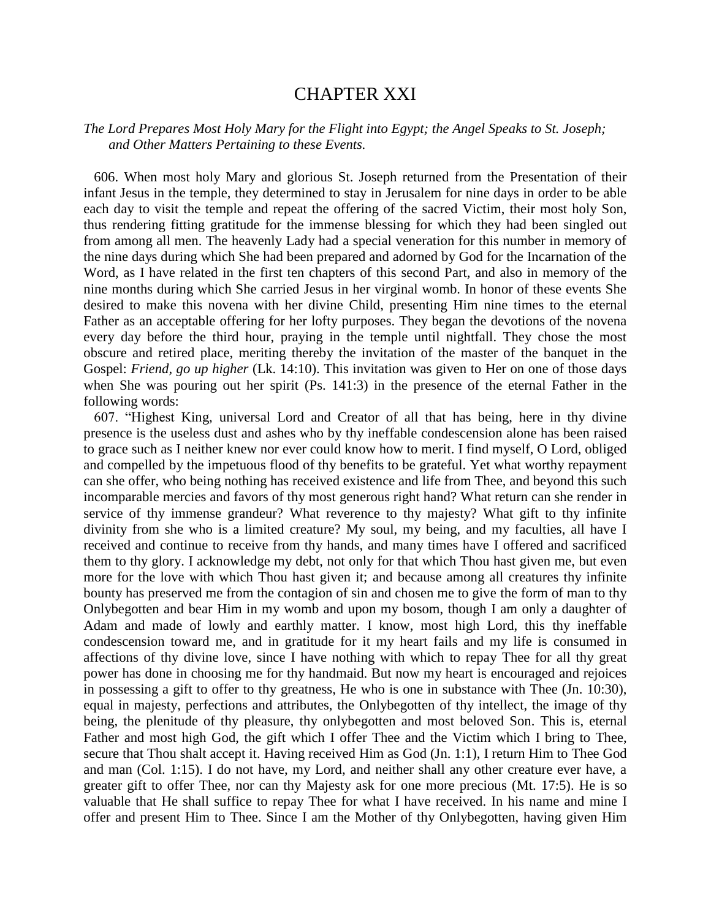## CHAPTER XXI

## *The Lord Prepares Most Holy Mary for the Flight into Egypt; the Angel Speaks to St. Joseph; and Other Matters Pertaining to these Events.*

 606. When most holy Mary and glorious St. Joseph returned from the Presentation of their infant Jesus in the temple, they determined to stay in Jerusalem for nine days in order to be able each day to visit the temple and repeat the offering of the sacred Victim, their most holy Son, thus rendering fitting gratitude for the immense blessing for which they had been singled out from among all men. The heavenly Lady had a special veneration for this number in memory of the nine days during which She had been prepared and adorned by God for the Incarnation of the Word, as I have related in the first ten chapters of this second Part, and also in memory of the nine months during which She carried Jesus in her virginal womb. In honor of these events She desired to make this novena with her divine Child, presenting Him nine times to the eternal Father as an acceptable offering for her lofty purposes. They began the devotions of the novena every day before the third hour, praying in the temple until nightfall. They chose the most obscure and retired place, meriting thereby the invitation of the master of the banquet in the Gospel: *Friend, go up higher* (Lk. 14:10). This invitation was given to Her on one of those days when She was pouring out her spirit (Ps. 141:3) in the presence of the eternal Father in the following words:

 607. "Highest King, universal Lord and Creator of all that has being, here in thy divine presence is the useless dust and ashes who by thy ineffable condescension alone has been raised to grace such as I neither knew nor ever could know how to merit. I find myself, O Lord, obliged and compelled by the impetuous flood of thy benefits to be grateful. Yet what worthy repayment can she offer, who being nothing has received existence and life from Thee, and beyond this such incomparable mercies and favors of thy most generous right hand? What return can she render in service of thy immense grandeur? What reverence to thy majesty? What gift to thy infinite divinity from she who is a limited creature? My soul, my being, and my faculties, all have I received and continue to receive from thy hands, and many times have I offered and sacrificed them to thy glory. I acknowledge my debt, not only for that which Thou hast given me, but even more for the love with which Thou hast given it; and because among all creatures thy infinite bounty has preserved me from the contagion of sin and chosen me to give the form of man to thy Onlybegotten and bear Him in my womb and upon my bosom, though I am only a daughter of Adam and made of lowly and earthly matter. I know, most high Lord, this thy ineffable condescension toward me, and in gratitude for it my heart fails and my life is consumed in affections of thy divine love, since I have nothing with which to repay Thee for all thy great power has done in choosing me for thy handmaid. But now my heart is encouraged and rejoices in possessing a gift to offer to thy greatness, He who is one in substance with Thee (Jn. 10:30), equal in majesty, perfections and attributes, the Onlybegotten of thy intellect, the image of thy being, the plenitude of thy pleasure, thy onlybegotten and most beloved Son. This is, eternal Father and most high God, the gift which I offer Thee and the Victim which I bring to Thee, secure that Thou shalt accept it. Having received Him as God (Jn. 1:1), I return Him to Thee God and man (Col. 1:15). I do not have, my Lord, and neither shall any other creature ever have, a greater gift to offer Thee, nor can thy Majesty ask for one more precious (Mt. 17:5). He is so valuable that He shall suffice to repay Thee for what I have received. In his name and mine I offer and present Him to Thee. Since I am the Mother of thy Onlybegotten, having given Him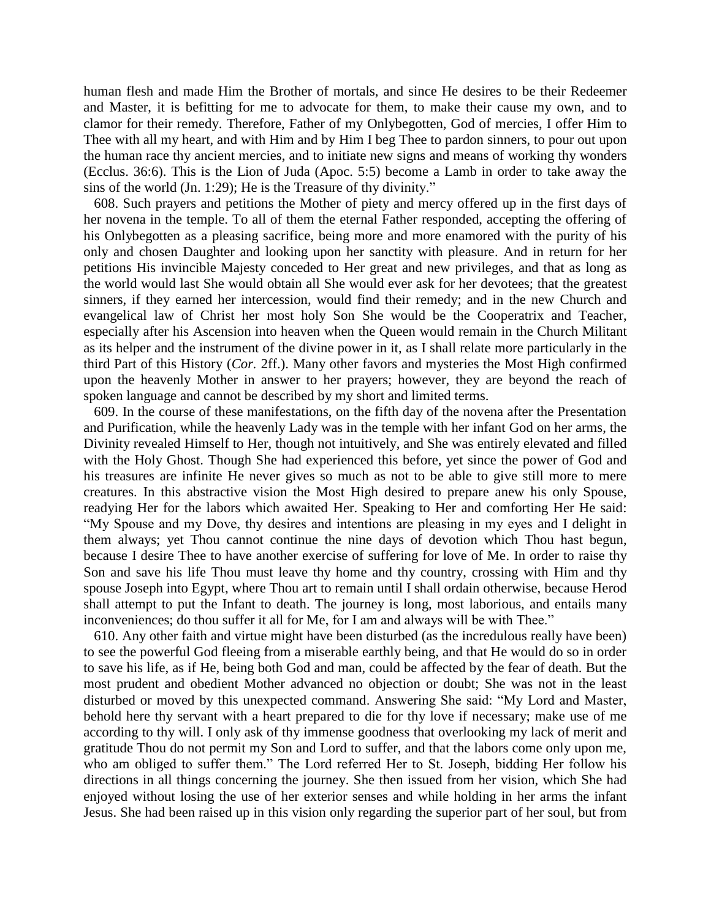human flesh and made Him the Brother of mortals, and since He desires to be their Redeemer and Master, it is befitting for me to advocate for them, to make their cause my own, and to clamor for their remedy. Therefore, Father of my Onlybegotten, God of mercies, I offer Him to Thee with all my heart, and with Him and by Him I beg Thee to pardon sinners, to pour out upon the human race thy ancient mercies, and to initiate new signs and means of working thy wonders (Ecclus. 36:6). This is the Lion of Juda (Apoc. 5:5) become a Lamb in order to take away the sins of the world (Jn. 1:29); He is the Treasure of thy divinity."

 608. Such prayers and petitions the Mother of piety and mercy offered up in the first days of her novena in the temple. To all of them the eternal Father responded, accepting the offering of his Onlybegotten as a pleasing sacrifice, being more and more enamored with the purity of his only and chosen Daughter and looking upon her sanctity with pleasure. And in return for her petitions His invincible Majesty conceded to Her great and new privileges, and that as long as the world would last She would obtain all She would ever ask for her devotees; that the greatest sinners, if they earned her intercession, would find their remedy; and in the new Church and evangelical law of Christ her most holy Son She would be the Cooperatrix and Teacher, especially after his Ascension into heaven when the Queen would remain in the Church Militant as its helper and the instrument of the divine power in it, as I shall relate more particularly in the third Part of this History (*Cor.* 2ff.). Many other favors and mysteries the Most High confirmed upon the heavenly Mother in answer to her prayers; however, they are beyond the reach of spoken language and cannot be described by my short and limited terms.

 609. In the course of these manifestations, on the fifth day of the novena after the Presentation and Purification, while the heavenly Lady was in the temple with her infant God on her arms, the Divinity revealed Himself to Her, though not intuitively, and She was entirely elevated and filled with the Holy Ghost. Though She had experienced this before, yet since the power of God and his treasures are infinite He never gives so much as not to be able to give still more to mere creatures. In this abstractive vision the Most High desired to prepare anew his only Spouse, readying Her for the labors which awaited Her. Speaking to Her and comforting Her He said: "My Spouse and my Dove, thy desires and intentions are pleasing in my eyes and I delight in them always; yet Thou cannot continue the nine days of devotion which Thou hast begun, because I desire Thee to have another exercise of suffering for love of Me. In order to raise thy Son and save his life Thou must leave thy home and thy country, crossing with Him and thy spouse Joseph into Egypt, where Thou art to remain until I shall ordain otherwise, because Herod shall attempt to put the Infant to death. The journey is long, most laborious, and entails many inconveniences; do thou suffer it all for Me, for I am and always will be with Thee."

 610. Any other faith and virtue might have been disturbed (as the incredulous really have been) to see the powerful God fleeing from a miserable earthly being, and that He would do so in order to save his life, as if He, being both God and man, could be affected by the fear of death. But the most prudent and obedient Mother advanced no objection or doubt; She was not in the least disturbed or moved by this unexpected command. Answering She said: "My Lord and Master, behold here thy servant with a heart prepared to die for thy love if necessary; make use of me according to thy will. I only ask of thy immense goodness that overlooking my lack of merit and gratitude Thou do not permit my Son and Lord to suffer, and that the labors come only upon me, who am obliged to suffer them." The Lord referred Her to St. Joseph, bidding Her follow his directions in all things concerning the journey. She then issued from her vision, which She had enjoyed without losing the use of her exterior senses and while holding in her arms the infant Jesus. She had been raised up in this vision only regarding the superior part of her soul, but from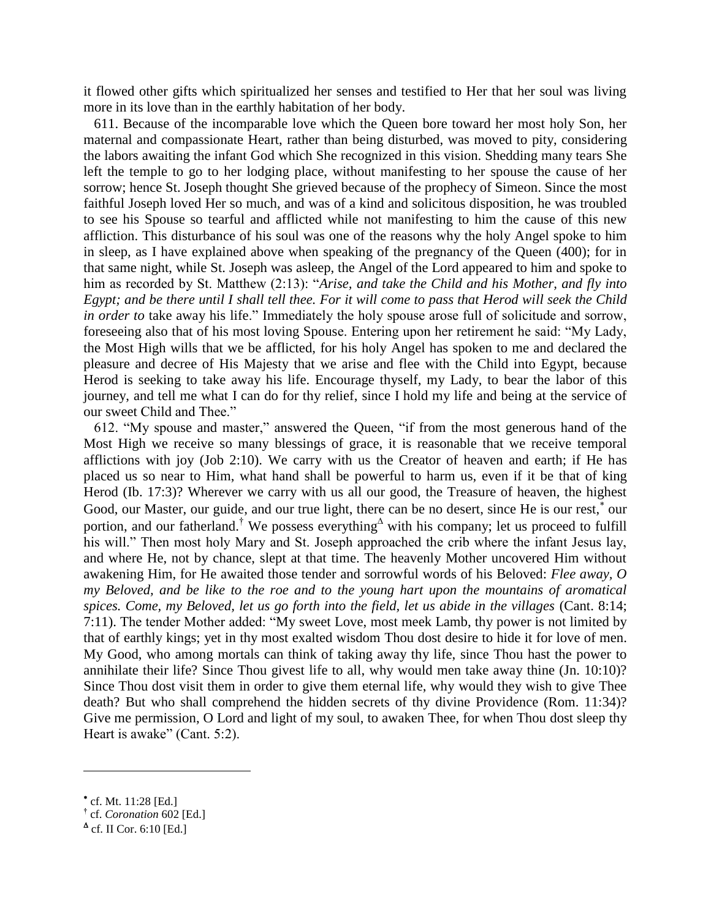it flowed other gifts which spiritualized her senses and testified to Her that her soul was living more in its love than in the earthly habitation of her body.

 611. Because of the incomparable love which the Queen bore toward her most holy Son, her maternal and compassionate Heart, rather than being disturbed, was moved to pity, considering the labors awaiting the infant God which She recognized in this vision. Shedding many tears She left the temple to go to her lodging place, without manifesting to her spouse the cause of her sorrow; hence St. Joseph thought She grieved because of the prophecy of Simeon. Since the most faithful Joseph loved Her so much, and was of a kind and solicitous disposition, he was troubled to see his Spouse so tearful and afflicted while not manifesting to him the cause of this new affliction. This disturbance of his soul was one of the reasons why the holy Angel spoke to him in sleep, as I have explained above when speaking of the pregnancy of the Queen (400); for in that same night, while St. Joseph was asleep, the Angel of the Lord appeared to him and spoke to him as recorded by St. Matthew (2:13): "*Arise, and take the Child and his Mother, and fly into Egypt; and be there until I shall tell thee. For it will come to pass that Herod will seek the Child in order to* take away his life." Immediately the holy spouse arose full of solicitude and sorrow, foreseeing also that of his most loving Spouse. Entering upon her retirement he said: "My Lady, the Most High wills that we be afflicted, for his holy Angel has spoken to me and declared the pleasure and decree of His Majesty that we arise and flee with the Child into Egypt, because Herod is seeking to take away his life. Encourage thyself, my Lady, to bear the labor of this journey, and tell me what I can do for thy relief, since I hold my life and being at the service of our sweet Child and Thee."

 612. "My spouse and master," answered the Queen, "if from the most generous hand of the Most High we receive so many blessings of grace, it is reasonable that we receive temporal afflictions with joy (Job 2:10). We carry with us the Creator of heaven and earth; if He has placed us so near to Him, what hand shall be powerful to harm us, even if it be that of king Herod (Ib. 17:3)? Wherever we carry with us all our good, the Treasure of heaven, the highest Good, our Master, our guide, and our true light, there can be no desert, since He is our rest,<sup>\*</sup> our portion, and our fatherland.<sup>†</sup> We possess everything<sup> $\triangle$ </sup> with his company; let us proceed to fulfill his will." Then most holy Mary and St. Joseph approached the crib where the infant Jesus lay, and where He, not by chance, slept at that time. The heavenly Mother uncovered Him without awakening Him, for He awaited those tender and sorrowful words of his Beloved: *Flee away, O my Beloved, and be like to the roe and to the young hart upon the mountains of aromatical spices. Come, my Beloved, let us go forth into the field, let us abide in the villages* (Cant. 8:14; 7:11). The tender Mother added: "My sweet Love, most meek Lamb, thy power is not limited by that of earthly kings; yet in thy most exalted wisdom Thou dost desire to hide it for love of men. My Good, who among mortals can think of taking away thy life, since Thou hast the power to annihilate their life? Since Thou givest life to all, why would men take away thine (Jn. 10:10)? Since Thou dost visit them in order to give them eternal life, why would they wish to give Thee death? But who shall comprehend the hidden secrets of thy divine Providence (Rom. 11:34)? Give me permission, O Lord and light of my soul, to awaken Thee, for when Thou dost sleep thy Heart is awake" (Cant. 5:2).

 $\overline{\phantom{a}}$ 

cf. Mt. 11:28 [Ed.]

**<sup>†</sup>** cf. *Coronation* 602 [Ed.]

 $^{\blacktriangle}$  cf. II Cor. 6:10 [Ed.]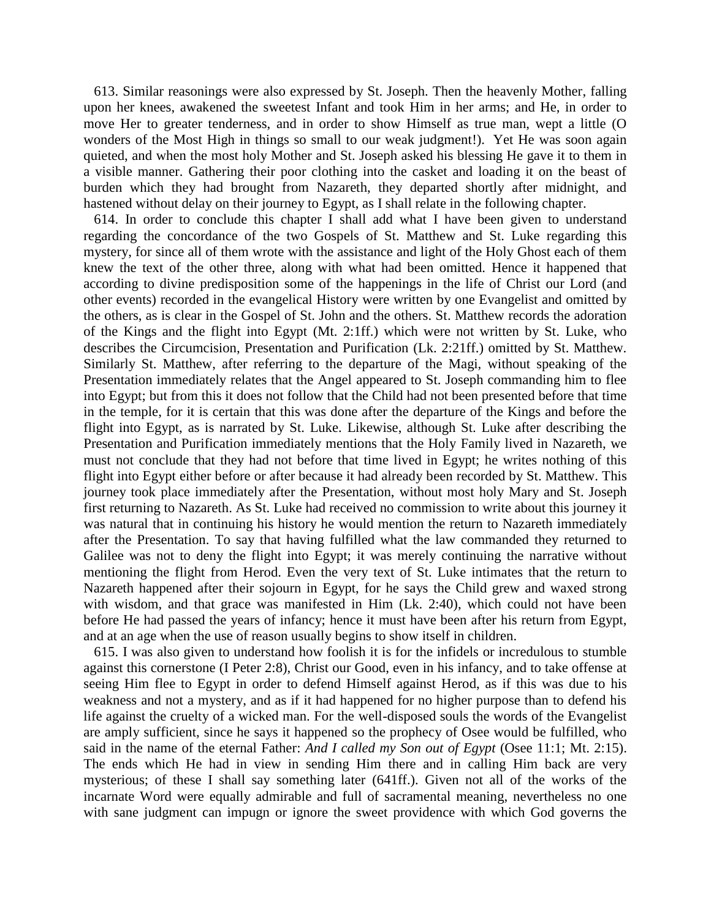613. Similar reasonings were also expressed by St. Joseph. Then the heavenly Mother, falling upon her knees, awakened the sweetest Infant and took Him in her arms; and He, in order to move Her to greater tenderness, and in order to show Himself as true man, wept a little (O wonders of the Most High in things so small to our weak judgment!). Yet He was soon again quieted, and when the most holy Mother and St. Joseph asked his blessing He gave it to them in a visible manner. Gathering their poor clothing into the casket and loading it on the beast of burden which they had brought from Nazareth, they departed shortly after midnight, and hastened without delay on their journey to Egypt, as I shall relate in the following chapter.

 614. In order to conclude this chapter I shall add what I have been given to understand regarding the concordance of the two Gospels of St. Matthew and St. Luke regarding this mystery, for since all of them wrote with the assistance and light of the Holy Ghost each of them knew the text of the other three, along with what had been omitted. Hence it happened that according to divine predisposition some of the happenings in the life of Christ our Lord (and other events) recorded in the evangelical History were written by one Evangelist and omitted by the others, as is clear in the Gospel of St. John and the others. St. Matthew records the adoration of the Kings and the flight into Egypt (Mt. 2:1ff.) which were not written by St. Luke, who describes the Circumcision, Presentation and Purification (Lk. 2:21ff.) omitted by St. Matthew. Similarly St. Matthew, after referring to the departure of the Magi, without speaking of the Presentation immediately relates that the Angel appeared to St. Joseph commanding him to flee into Egypt; but from this it does not follow that the Child had not been presented before that time in the temple, for it is certain that this was done after the departure of the Kings and before the flight into Egypt, as is narrated by St. Luke. Likewise, although St. Luke after describing the Presentation and Purification immediately mentions that the Holy Family lived in Nazareth, we must not conclude that they had not before that time lived in Egypt; he writes nothing of this flight into Egypt either before or after because it had already been recorded by St. Matthew. This journey took place immediately after the Presentation, without most holy Mary and St. Joseph first returning to Nazareth. As St. Luke had received no commission to write about this journey it was natural that in continuing his history he would mention the return to Nazareth immediately after the Presentation. To say that having fulfilled what the law commanded they returned to Galilee was not to deny the flight into Egypt; it was merely continuing the narrative without mentioning the flight from Herod. Even the very text of St. Luke intimates that the return to Nazareth happened after their sojourn in Egypt, for he says the Child grew and waxed strong with wisdom, and that grace was manifested in Him (Lk. 2:40), which could not have been before He had passed the years of infancy; hence it must have been after his return from Egypt, and at an age when the use of reason usually begins to show itself in children.

 615. I was also given to understand how foolish it is for the infidels or incredulous to stumble against this cornerstone (I Peter 2:8), Christ our Good, even in his infancy, and to take offense at seeing Him flee to Egypt in order to defend Himself against Herod, as if this was due to his weakness and not a mystery, and as if it had happened for no higher purpose than to defend his life against the cruelty of a wicked man. For the well-disposed souls the words of the Evangelist are amply sufficient, since he says it happened so the prophecy of Osee would be fulfilled, who said in the name of the eternal Father: *And I called my Son out of Egypt* (Osee 11:1; Mt. 2:15). The ends which He had in view in sending Him there and in calling Him back are very mysterious; of these I shall say something later (641ff.). Given not all of the works of the incarnate Word were equally admirable and full of sacramental meaning, nevertheless no one with sane judgment can impugn or ignore the sweet providence with which God governs the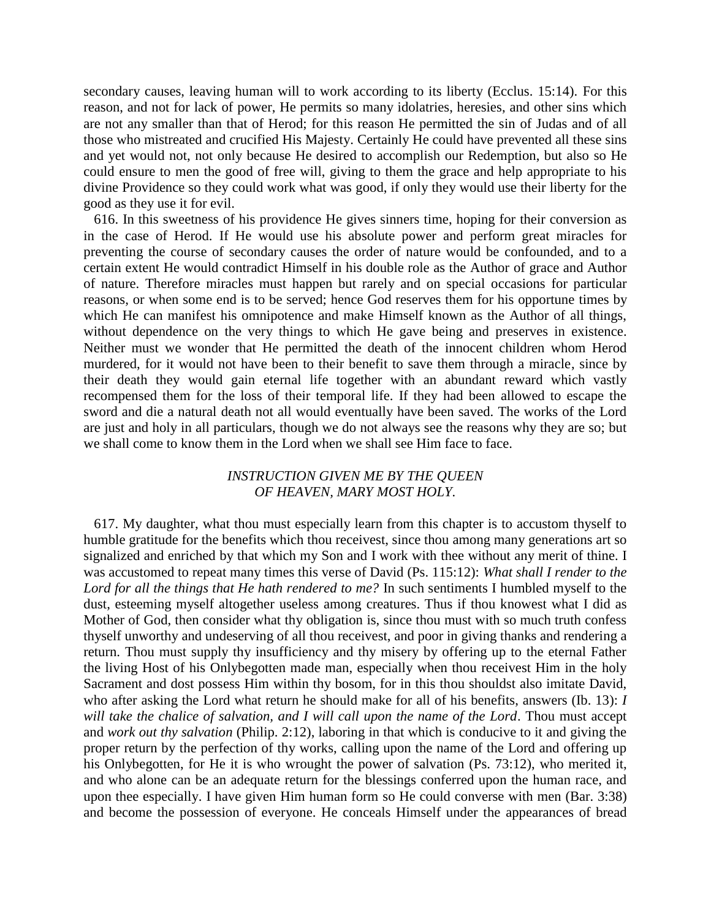secondary causes, leaving human will to work according to its liberty (Ecclus. 15:14). For this reason, and not for lack of power, He permits so many idolatries, heresies, and other sins which are not any smaller than that of Herod; for this reason He permitted the sin of Judas and of all those who mistreated and crucified His Majesty. Certainly He could have prevented all these sins and yet would not, not only because He desired to accomplish our Redemption, but also so He could ensure to men the good of free will, giving to them the grace and help appropriate to his divine Providence so they could work what was good, if only they would use their liberty for the good as they use it for evil.

 616. In this sweetness of his providence He gives sinners time, hoping for their conversion as in the case of Herod. If He would use his absolute power and perform great miracles for preventing the course of secondary causes the order of nature would be confounded, and to a certain extent He would contradict Himself in his double role as the Author of grace and Author of nature. Therefore miracles must happen but rarely and on special occasions for particular reasons, or when some end is to be served; hence God reserves them for his opportune times by which He can manifest his omnipotence and make Himself known as the Author of all things, without dependence on the very things to which He gave being and preserves in existence. Neither must we wonder that He permitted the death of the innocent children whom Herod murdered, for it would not have been to their benefit to save them through a miracle, since by their death they would gain eternal life together with an abundant reward which vastly recompensed them for the loss of their temporal life. If they had been allowed to escape the sword and die a natural death not all would eventually have been saved. The works of the Lord are just and holy in all particulars, though we do not always see the reasons why they are so; but we shall come to know them in the Lord when we shall see Him face to face.

## *INSTRUCTION GIVEN ME BY THE QUEEN OF HEAVEN, MARY MOST HOLY.*

 617. My daughter, what thou must especially learn from this chapter is to accustom thyself to humble gratitude for the benefits which thou receivest, since thou among many generations art so signalized and enriched by that which my Son and I work with thee without any merit of thine. I was accustomed to repeat many times this verse of David (Ps. 115:12): *What shall I render to the Lord for all the things that He hath rendered to me?* In such sentiments I humbled myself to the dust, esteeming myself altogether useless among creatures. Thus if thou knowest what I did as Mother of God, then consider what thy obligation is, since thou must with so much truth confess thyself unworthy and undeserving of all thou receivest, and poor in giving thanks and rendering a return. Thou must supply thy insufficiency and thy misery by offering up to the eternal Father the living Host of his Onlybegotten made man, especially when thou receivest Him in the holy Sacrament and dost possess Him within thy bosom, for in this thou shouldst also imitate David, who after asking the Lord what return he should make for all of his benefits, answers (Ib. 13): *I will take the chalice of salvation, and I will call upon the name of the Lord*. Thou must accept and *work out thy salvation* (Philip. 2:12), laboring in that which is conducive to it and giving the proper return by the perfection of thy works, calling upon the name of the Lord and offering up his Onlybegotten, for He it is who wrought the power of salvation (Ps. 73:12), who merited it, and who alone can be an adequate return for the blessings conferred upon the human race, and upon thee especially. I have given Him human form so He could converse with men (Bar. 3:38) and become the possession of everyone. He conceals Himself under the appearances of bread